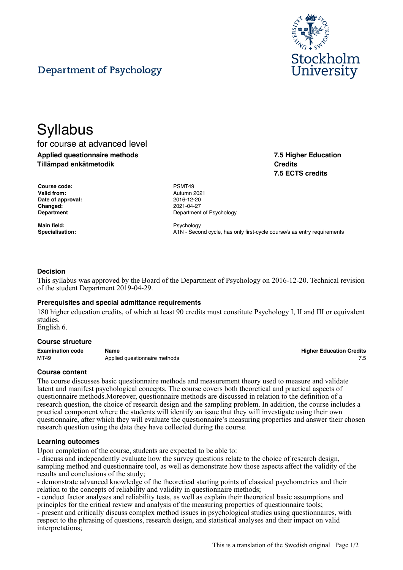

**7.5 Higher Education**

**7.5 ECTS credits**

**Credits**

# Department of Psychology

# **Syllabus**

for course at advanced level **Applied questionnaire methods Tillämpad enkätmetodik**

**Course code:** PSMT49 **Valid from:** Autumn 2021 **Date of approval:** 2016-12-20 **Changed:** 2021-04-27

**Main field:** Psychology

**Department** Department **Department** Of Psychology

Specialisation: **A1N** - Second cycle, has only first-cycle course/s as entry requirements

# **Decision**

This syllabus was approved by the Board of the Department of Psychology on 2016-12-20. Technical revision of the student Department 2019-04-29.

#### **Prerequisites and special admittance requirements**

180 higher education credits, of which at least 90 credits must constitute Psychology I, II and III or equivalent studies.

English 6.

#### **Course structure**

| <b>Examination code</b> | Name                          | <b>Higher Education Credits</b> |
|-------------------------|-------------------------------|---------------------------------|
| MT49                    | Applied questionnaire methods |                                 |

#### **Course content**

The course discusses basic questionnaire methods and measurement theory used to measure and validate latent and manifest psychological concepts. The course covers both theoretical and practical aspects of questionnaire methods.Moreover, questionnaire methods are discussed in relation to the definition of a research question, the choice of research design and the sampling problem. In addition, the course includes a practical component where the students will identify an issue that they will investigate using their own questionnaire, after which they will evaluate the questionnaire's measuring properties and answer their chosen research question using the data they have collected during the course.

#### **Learning outcomes**

Upon completion of the course, students are expected to be able to:

- discuss and independently evaluate how the survey questions relate to the choice of research design, sampling method and questionnaire tool, as well as demonstrate how those aspects affect the validity of the results and conclusions of the study;

- demonstrate advanced knowledge of the theoretical starting points of classical psychometrics and their relation to the concepts of reliability and validity in questionnaire methods;

- conduct factor analyses and reliability tests, as well as explain their theoretical basic assumptions and principles for the critical review and analysis of the measuring properties of questionnaire tools;

- present and critically discuss complex method issues in psychological studies using questionnaires, with respect to the phrasing of questions, research design, and statistical analyses and their impact on valid interpretations;